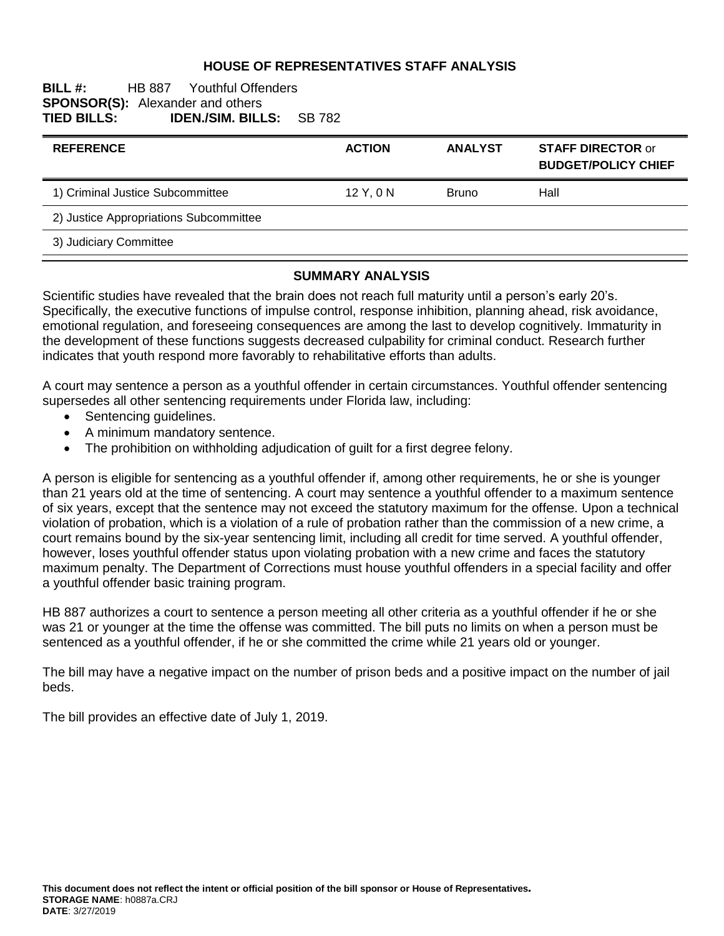#### **HOUSE OF REPRESENTATIVES STAFF ANALYSIS**

#### **BILL #:** HB 887 Youthful Offenders **SPONSOR(S):** Alexander and others<br>**TIED BILLS: IDEN./SIM. BILL TIED BILLS: IDEN./SIM. BILLS:** SB 782

| <b>REFERENCE</b>                       | <b>ACTION</b> | <b>ANALYST</b> | <b>STAFF DIRECTOR or</b><br><b>BUDGET/POLICY CHIEF</b> |
|----------------------------------------|---------------|----------------|--------------------------------------------------------|
| 1) Criminal Justice Subcommittee       | $12$ Y, 0 N   | <b>Bruno</b>   | Hall                                                   |
| 2) Justice Appropriations Subcommittee |               |                |                                                        |
| 3) Judiciary Committee                 |               |                |                                                        |

#### **SUMMARY ANALYSIS**

Scientific studies have revealed that the brain does not reach full maturity until a person's early 20's. Specifically, the executive functions of impulse control, response inhibition, planning ahead, risk avoidance, emotional regulation, and foreseeing consequences are among the last to develop cognitively. Immaturity in the development of these functions suggests decreased culpability for criminal conduct. Research further indicates that youth respond more favorably to rehabilitative efforts than adults.

A court may sentence a person as a youthful offender in certain circumstances. Youthful offender sentencing supersedes all other sentencing requirements under Florida law, including:

- Sentencing guidelines.
- A minimum mandatory sentence.
- The prohibition on withholding adjudication of guilt for a first degree felony.

A person is eligible for sentencing as a youthful offender if, among other requirements, he or she is younger than 21 years old at the time of sentencing. A court may sentence a youthful offender to a maximum sentence of six years, except that the sentence may not exceed the statutory maximum for the offense. Upon a technical violation of probation, which is a violation of a rule of probation rather than the commission of a new crime, a court remains bound by the six-year sentencing limit, including all credit for time served. A youthful offender, however, loses youthful offender status upon violating probation with a new crime and faces the statutory maximum penalty. The Department of Corrections must house youthful offenders in a special facility and offer a youthful offender basic training program.

HB 887 authorizes a court to sentence a person meeting all other criteria as a youthful offender if he or she was 21 or younger at the time the offense was committed. The bill puts no limits on when a person must be sentenced as a youthful offender, if he or she committed the crime while 21 years old or younger.

The bill may have a negative impact on the number of prison beds and a positive impact on the number of jail beds.

The bill provides an effective date of July 1, 2019.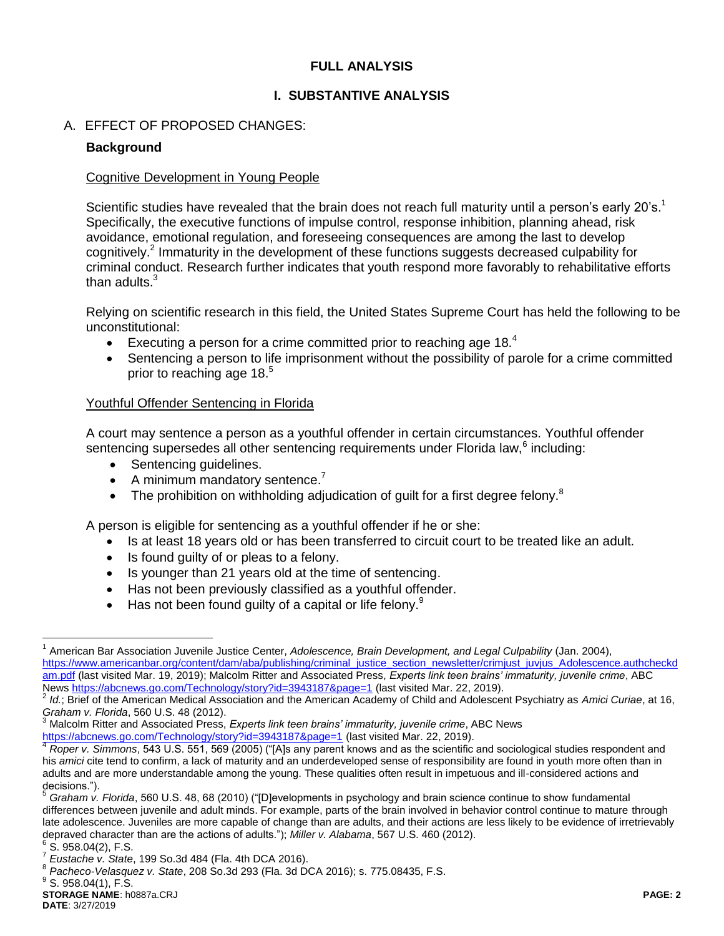## **FULL ANALYSIS**

# **I. SUBSTANTIVE ANALYSIS**

# A. EFFECT OF PROPOSED CHANGES:

## **Background**

#### Cognitive Development in Young People

Scientific studies have revealed that the brain does not reach full maturity until a person's early 20's.<sup>1</sup> Specifically, the executive functions of impulse control, response inhibition, planning ahead, risk avoidance, emotional regulation, and foreseeing consequences are among the last to develop cognitively.<sup>2</sup> Immaturity in the development of these functions suggests decreased culpability for criminal conduct. Research further indicates that youth respond more favorably to rehabilitative efforts than adults. $3$ 

Relying on scientific research in this field, the United States Supreme Court has held the following to be unconstitutional:

- Executing a person for a crime committed prior to reaching age 18. $4$
- Sentencing a person to life imprisonment without the possibility of parole for a crime committed prior to reaching age 18.<sup>5</sup>

### Youthful Offender Sentencing in Florida

A court may sentence a person as a youthful offender in certain circumstances. Youthful offender sentencing supersedes all other sentencing requirements under Florida law, $^6$  including:

- Sentencing quidelines.
- $\bullet$  A minimum mandatory sentence.<sup>7</sup>
- The prohibition on withholding adjudication of quilt for a first degree felony.<sup>8</sup>

A person is eligible for sentencing as a youthful offender if he or she:

- Is at least 18 years old or has been transferred to circuit court to be treated like an adult.
- Is found guilty of or pleas to a felony.
- Is younger than 21 years old at the time of sentencing.
- Has not been previously classified as a youthful offender.
- $\bullet$  Has not been found quilty of a capital or life felony.<sup>9</sup>

 $6$  S. 958.04(2), F.S.

 $\overline{a}$ <sup>1</sup> American Bar Association Juvenile Justice Center, *Adolescence, Brain Development, and Legal Culpability* (Jan. 2004), [https://www.americanbar.org/content/dam/aba/publishing/criminal\\_justice\\_section\\_newsletter/crimjust\\_juvjus\\_Adolescence.authcheckd](https://www.americanbar.org/content/dam/aba/publishing/criminal_justice_section_newsletter/crimjust_juvjus_Adolescence.authcheckdam.pdf) [am.pdf](https://www.americanbar.org/content/dam/aba/publishing/criminal_justice_section_newsletter/crimjust_juvjus_Adolescence.authcheckdam.pdf) (last visited Mar. 19, 2019); Malcolm Ritter and Associated Press, *Experts link teen brains' immaturity, juvenile crime*, ABC News<https://abcnews.go.com/Technology/story?id=3943187&page=1> (last visited Mar. 22, 2019).

<sup>2</sup> *Id.*; Brief of the American Medical Association and the American Academy of Child and Adolescent Psychiatry as *Amici Curiae*, at 16, *Graham v. Florida*, 560 U.S. 48 (2012).

<sup>3</sup> Malcolm Ritter and Associated Press, *Experts link teen brains' immaturity, juvenile crime*, ABC News <https://abcnews.go.com/Technology/story?id=3943187&page=1> (last visited Mar. 22, 2019).

<sup>4</sup> *Roper v. Simmons*, 543 U.S. 551, 569 (2005) ("[A]s any parent knows and as the scientific and sociological studies respondent and his *amici* cite tend to confirm, a lack of maturity and an underdeveloped sense of responsibility are found in youth more often than in adults and are more understandable among the young. These qualities often result in impetuous and ill-considered actions and decisions.").

<sup>5</sup> *Graham v. Florida*, 560 U.S. 48, 68 (2010) ("[D]evelopments in psychology and brain science continue to show fundamental differences between juvenile and adult minds. For example, parts of the brain involved in behavior control continue to mature through late adolescence. Juveniles are more capable of change than are adults, and their actions are less likely to be evidence of irretrievably depraved character than are the actions of adults."); *Miller v. Alabama*, 567 U.S. 460 (2012).

<sup>7</sup> *Eustache v. State*, 199 So.3d 484 (Fla. 4th DCA 2016).

<sup>8</sup> *Pacheco-Velasquez v. State*, 208 So.3d 293 (Fla. 3d DCA 2016); s. 775.08435, F.S.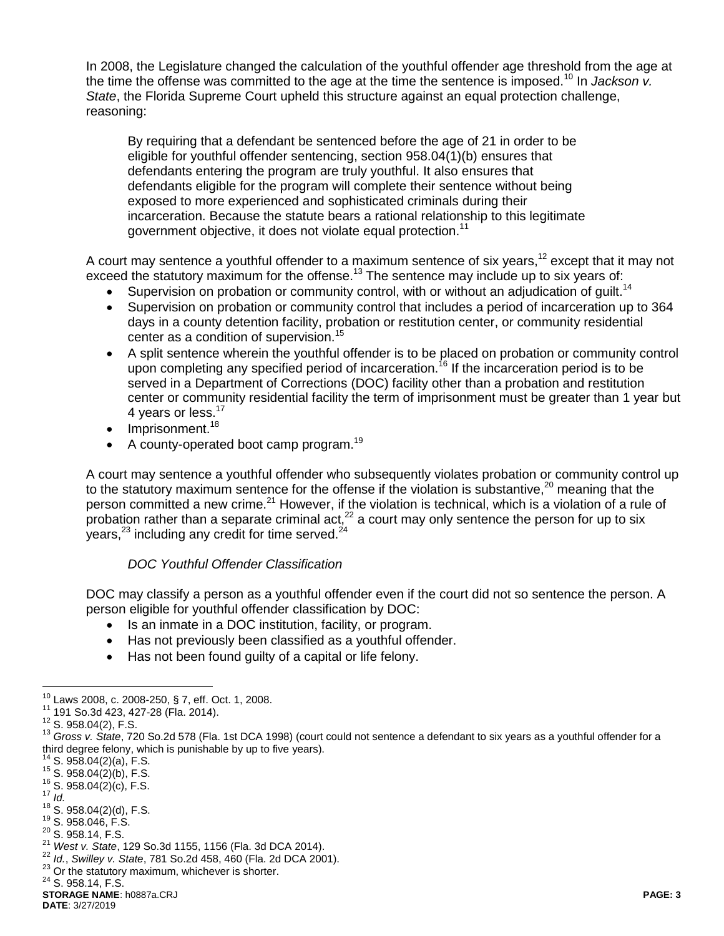In 2008, the Legislature changed the calculation of the youthful offender age threshold from the age at the time the offense was committed to the age at the time the sentence is imposed.<sup>10</sup> In *Jackson v. State*, the Florida Supreme Court upheld this structure against an equal protection challenge, reasoning:

By requiring that a defendant be sentenced before the age of 21 in order to be eligible for youthful offender sentencing, section 958.04(1)(b) ensures that defendants entering the program are truly youthful. It also ensures that defendants eligible for the program will complete their sentence without being exposed to more experienced and sophisticated criminals during their incarceration. Because the statute bears a rational relationship to this legitimate government objective, it does not violate equal protection.<sup>11</sup>

A court may sentence a youthful offender to a maximum sentence of six years,<sup>12</sup> except that it may not exceed the statutory maximum for the offense.<sup>13</sup> The sentence may include up to six years of:

- Supervision on probation or community control, with or without an adjudication of guilt.<sup>14</sup>
- Supervision on probation or community control that includes a period of incarceration up to 364 days in a county detention facility, probation or restitution center, or community residential center as a condition of supervision.<sup>15</sup>
- A split sentence wherein the youthful offender is to be placed on probation or community control upon completing any specified period of incarceration.<sup>16</sup> If the incarceration period is to be served in a Department of Corrections (DOC) facility other than a probation and restitution center or community residential facility the term of imprisonment must be greater than 1 year but 4 years or less.<sup>17</sup>
- $\bullet$  Imprisonment.<sup>18</sup>
- $\bullet$  A county-operated boot camp program.<sup>19</sup>

A court may sentence a youthful offender who subsequently violates probation or community control up to the statutory maximum sentence for the offense if the violation is substantive.<sup>20</sup> meaning that the person committed a new crime.<sup>21</sup> However, if the violation is technical, which is a violation of a rule of probation rather than a separate criminal act,<sup>22</sup> a court may only sentence the person for up to six years, $^{23}$  including any credit for time served. $^{24}$ 

### *DOC Youthful Offender Classification*

DOC may classify a person as a youthful offender even if the court did not so sentence the person. A person eligible for youthful offender classification by DOC:

- Is an inmate in a DOC institution, facility, or program.
- Has not previously been classified as a youthful offender.
- Has not been found guilty of a capital or life felony.

<sup>24</sup> S. 958.14, F.S.

 $\overline{a}$  $^{10}$  Laws 2008, c. 2008-250, § 7, eff. Oct. 1, 2008.

<sup>11</sup> 191 So.3d 423, 427-28 (Fla. 2014).

<sup>12</sup> S. 958.04(2), F.S.

<sup>13</sup> *Gross v. State*, 720 So.2d 578 (Fla. 1st DCA 1998) (court could not sentence a defendant to six years as a youthful offender for a third degree felony, which is punishable by up to five years).

 $14$  S. 958.04(2)(a), F.S.

<sup>15</sup> S. 958.04(2)(b), F.S.

<sup>16</sup> S. 958.04(2)(c), F.S.  $17 \overline{Id}$ .

 $18^{10}$ .<br>S. 958.04(2)(d), F.S.

<sup>19</sup> S. 958.046, F.S. <sup>20</sup> S. 958.14, F.S.

<sup>21</sup> *West v. State*, 129 So.3d 1155, 1156 (Fla. 3d DCA 2014).

<sup>22</sup> *Id.*, *Swilley v. State*, 781 So.2d 458, 460 (Fla. 2d DCA 2001).

<sup>&</sup>lt;sup>23</sup> Or the statutory maximum, whichever is shorter.

**STORAGE NAME**: h0887a.CRJ **PAGE: 3**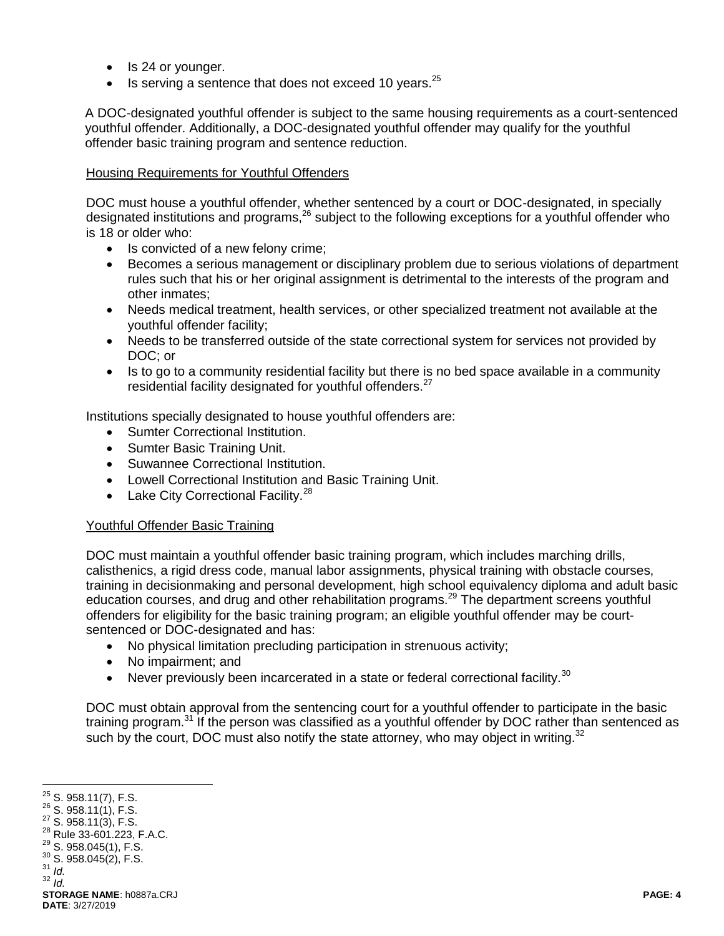- Is 24 or younger.
- $\bullet$  Is serving a sentence that does not exceed 10 years.<sup>25</sup>

A DOC-designated youthful offender is subject to the same housing requirements as a court-sentenced youthful offender. Additionally, a DOC-designated youthful offender may qualify for the youthful offender basic training program and sentence reduction.

#### Housing Requirements for Youthful Offenders

DOC must house a youthful offender, whether sentenced by a court or DOC-designated, in specially designated institutions and programs,<sup>26</sup> subject to the following exceptions for a youthful offender who is 18 or older who:

- Is convicted of a new felony crime;
- Becomes a serious management or disciplinary problem due to serious violations of department rules such that his or her original assignment is detrimental to the interests of the program and other inmates;
- Needs medical treatment, health services, or other specialized treatment not available at the youthful offender facility;
- Needs to be transferred outside of the state correctional system for services not provided by DOC; or
- Is to go to a community residential facility but there is no bed space available in a community residential facility designated for youthful offenders.<sup>27</sup>

Institutions specially designated to house youthful offenders are:

- Sumter Correctional Institution.
- Sumter Basic Training Unit.
- Suwannee Correctional Institution.
- Lowell Correctional Institution and Basic Training Unit.
- $\bullet$  Lake City Correctional Facility.<sup>28</sup>

#### Youthful Offender Basic Training

DOC must maintain a youthful offender basic training program, which includes marching drills, calisthenics, a rigid dress code, manual labor assignments, physical training with obstacle courses, training in decisionmaking and personal development, high school equivalency diploma and adult basic education courses, and drug and other rehabilitation programs.<sup>29</sup> The department screens youthful offenders for eligibility for the basic training program; an eligible youthful offender may be courtsentenced or DOC-designated and has:

- No physical limitation precluding participation in strenuous activity;
- No impairment; and
- Never previously been incarcerated in a state or federal correctional facility.<sup>30</sup>

DOC must obtain approval from the sentencing court for a youthful offender to participate in the basic training program.<sup>31</sup> If the person was classified as a youthful offender by DOC rather than sentenced as such by the court, DOC must also notify the state attorney, who may object in writing.<sup>32</sup>

<sup>30</sup> S. 958.045(2), F.S.

 $\overline{a}$  $25$  S. 958.11(7), F.S.

 $26$  S. 958.11(1), F.S.

<sup>27</sup> S. 958.11(3), F.S.

<sup>28</sup> Rule 33-601.223, F.A.C.

<sup>29</sup> S. 958.045(1), F.S.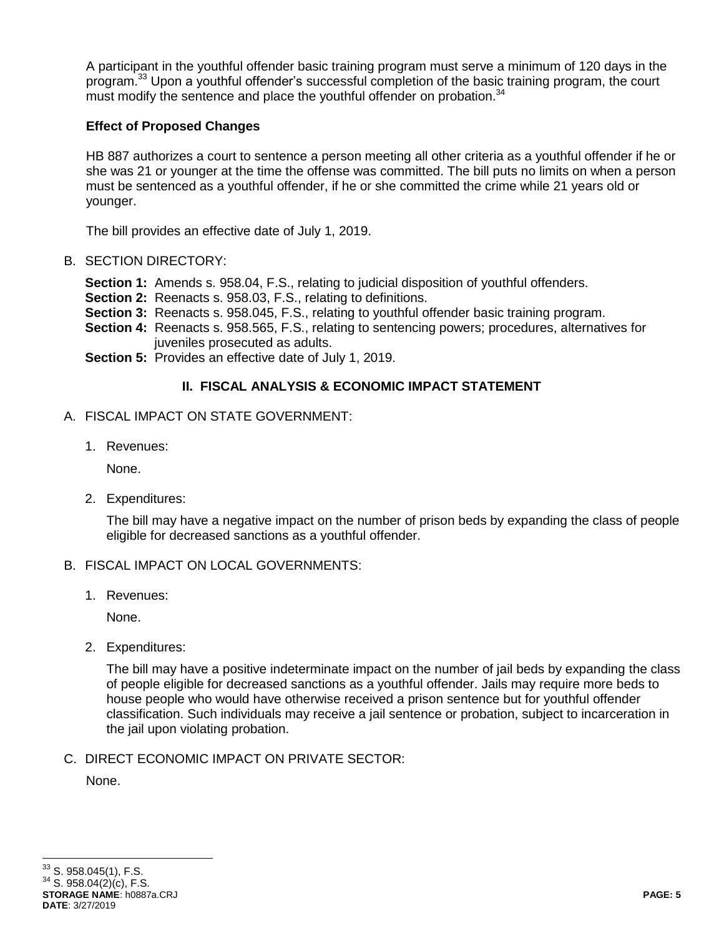A participant in the youthful offender basic training program must serve a minimum of 120 days in the program.<sup>33</sup> Upon a youthful offender's successful completion of the basic training program, the court must modify the sentence and place the youthful offender on probation.<sup>34</sup>

### **Effect of Proposed Changes**

HB 887 authorizes a court to sentence a person meeting all other criteria as a youthful offender if he or she was 21 or younger at the time the offense was committed. The bill puts no limits on when a person must be sentenced as a youthful offender, if he or she committed the crime while 21 years old or younger.

The bill provides an effective date of July 1, 2019.

### B. SECTION DIRECTORY:

- **Section 1:** Amends s. 958.04, F.S., relating to judicial disposition of youthful offenders.
- **Section 2:** Reenacts s. 958.03, F.S., relating to definitions.
- **Section 3:** Reenacts s. 958.045, F.S., relating to youthful offender basic training program.
- **Section 4:** Reenacts s. 958.565, F.S., relating to sentencing powers; procedures, alternatives for juveniles prosecuted as adults.
- **Section 5:** Provides an effective date of July 1, 2019.

# **II. FISCAL ANALYSIS & ECONOMIC IMPACT STATEMENT**

- A. FISCAL IMPACT ON STATE GOVERNMENT:
	- 1. Revenues:

None.

2. Expenditures:

The bill may have a negative impact on the number of prison beds by expanding the class of people eligible for decreased sanctions as a youthful offender.

#### B. FISCAL IMPACT ON LOCAL GOVERNMENTS:

1. Revenues:

None.

2. Expenditures:

The bill may have a positive indeterminate impact on the number of jail beds by expanding the class of people eligible for decreased sanctions as a youthful offender. Jails may require more beds to house people who would have otherwise received a prison sentence but for youthful offender classification. Such individuals may receive a jail sentence or probation, subject to incarceration in the jail upon violating probation.

C. DIRECT ECONOMIC IMPACT ON PRIVATE SECTOR:

None.